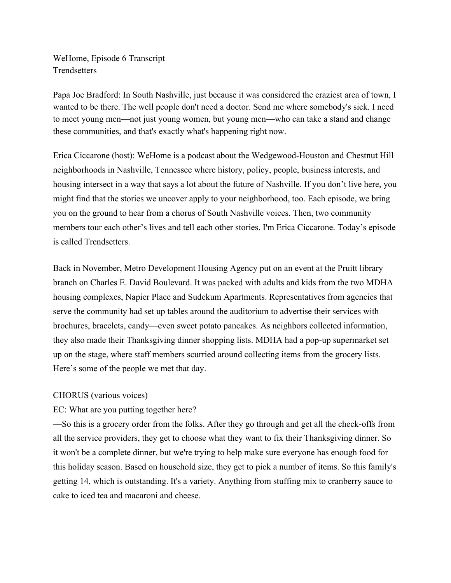WeHome, Episode 6 Transcript **Trendsetters** 

Papa Joe Bradford: In South Nashville, just because it was considered the craziest area of town, I wanted to be there. The well people don't need a doctor. Send me where somebody's sick. I need to meet young men––not just young women, but young men––who can take a stand and change these communities, and that's exactly what's happening right now.

Erica Ciccarone (host): WeHome is a podcast about the Wedgewood-Houston and Chestnut Hill neighborhoods in Nashville, Tennessee where history, policy, people, business interests, and housing intersect in a way that says a lot about the future of Nashville. If you don't live here, you might find that the stories we uncover apply to your neighborhood, too. Each episode, we bring you on the ground to hear from a chorus of South Nashville voices. Then, two community members tour each other's lives and tell each other stories. I'm Erica Ciccarone. Today's episode is called Trendsetters.

Back in November, Metro Development Housing Agency put on an event at the Pruitt library branch on Charles E. David Boulevard. It was packed with adults and kids from the two MDHA housing complexes, Napier Place and Sudekum Apartments. Representatives from agencies that serve the community had set up tables around the auditorium to advertise their services with brochures, bracelets, candy––even sweet potato pancakes. As neighbors collected information, they also made their Thanksgiving dinner shopping lists. MDHA had a pop-up supermarket set up on the stage, where staff members scurried around collecting items from the grocery lists. Here's some of the people we met that day.

## CHORUS (various voices)

## EC: What are you putting together here?

––So this is a grocery order from the folks. After they go through and get all the check-offs from all the service providers, they get to choose what they want to fix their Thanksgiving dinner. So it won't be a complete dinner, but we're trying to help make sure everyone has enough food for this holiday season. Based on household size, they get to pick a number of items. So this family's getting 14, which is outstanding. It's a variety. Anything from stuffing mix to cranberry sauce to cake to iced tea and macaroni and cheese.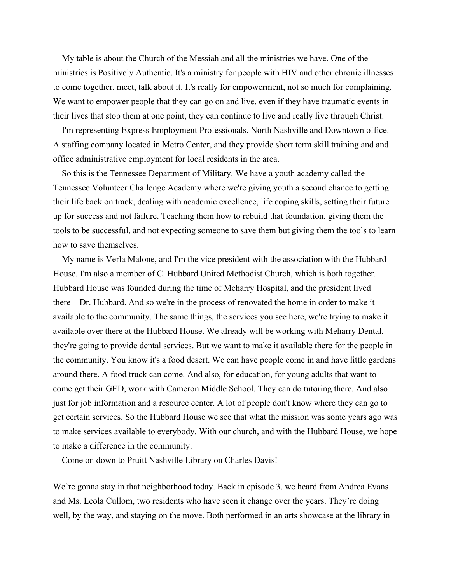––My table is about the Church of the Messiah and all the ministries we have. One of the ministries is Positively Authentic. It's a ministry for people with HIV and other chronic illnesses to come together, meet, talk about it. It's really for empowerment, not so much for complaining. We want to empower people that they can go on and live, even if they have traumatic events in their lives that stop them at one point, they can continue to live and really live through Christ. ––I'm representing Express Employment Professionals, North Nashville and Downtown office. A staffing company located in Metro Center, and they provide short term skill training and and office administrative employment for local residents in the area.

––So this is the Tennessee Department of Military. We have a youth academy called the Tennessee Volunteer Challenge Academy where we're giving youth a second chance to getting their life back on track, dealing with academic excellence, life coping skills, setting their future up for success and not failure. Teaching them how to rebuild that foundation, giving them the tools to be successful, and not expecting someone to save them but giving them the tools to learn how to save themselves.

––My name is Verla Malone, and I'm the vice president with the association with the Hubbard House. I'm also a member of C. Hubbard United Methodist Church, which is both together. Hubbard House was founded during the time of Meharry Hospital, and the president lived there––Dr. Hubbard. And so we're in the process of renovated the home in order to make it available to the community. The same things, the services you see here, we're trying to make it available over there at the Hubbard House. We already will be working with Meharry Dental, they're going to provide dental services. But we want to make it available there for the people in the community. You know it's a food desert. We can have people come in and have little gardens around there. A food truck can come. And also, for education, for young adults that want to come get their GED, work with Cameron Middle School. They can do tutoring there. And also just for job information and a resource center. A lot of people don't know where they can go to get certain services. So the Hubbard House we see that what the mission was some years ago was to make services available to everybody. With our church, and with the Hubbard House, we hope to make a difference in the community.

––Come on down to Pruitt Nashville Library on Charles Davis!

We're gonna stay in that neighborhood today. Back in episode 3, we heard from Andrea Evans and Ms. Leola Cullom, two residents who have seen it change over the years. They're doing well, by the way, and staying on the move. Both performed in an arts showcase at the library in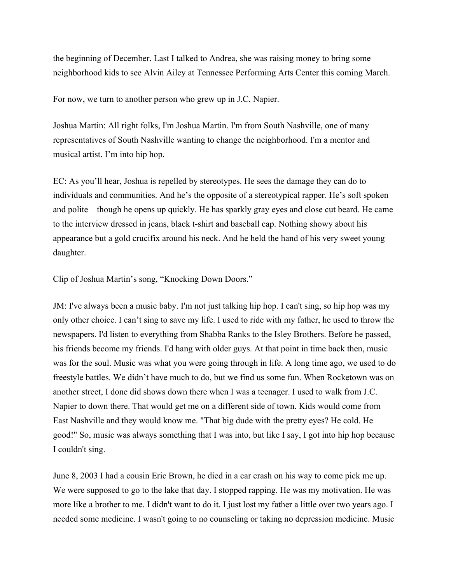the beginning of December. Last I talked to Andrea, she was raising money to bring some neighborhood kids to see Alvin Ailey at Tennessee Performing Arts Center this coming March.

For now, we turn to another person who grew up in J.C. Napier.

Joshua Martin: All right folks, I'm Joshua Martin. I'm from South Nashville, one of many representatives of South Nashville wanting to change the neighborhood. I'm a mentor and musical artist. I'm into hip hop.

EC: As you'll hear, Joshua is repelled by stereotypes. He sees the damage they can do to individuals and communities. And he's the opposite of a stereotypical rapper. He's soft spoken and polite––though he opens up quickly. He has sparkly gray eyes and close cut beard. He came to the interview dressed in jeans, black t-shirt and baseball cap. Nothing showy about his appearance but a gold crucifix around his neck. And he held the hand of his very sweet young daughter.

Clip of Joshua Martin's song, "Knocking Down Doors."

JM: I've always been a music baby. I'm not just talking hip hop. I can't sing, so hip hop was my only other choice. I can't sing to save my life. I used to ride with my father, he used to throw the newspapers. I'd listen to everything from Shabba Ranks to the Isley Brothers. Before he passed, his friends become my friends. I'd hang with older guys. At that point in time back then, music was for the soul. Music was what you were going through in life. A long time ago, we used to do freestyle battles. We didn't have much to do, but we find us some fun. When Rocketown was on another street, I done did shows down there when I was a teenager. I used to walk from J.C. Napier to down there. That would get me on a different side of town. Kids would come from East Nashville and they would know me. "That big dude with the pretty eyes? He cold. He good!" So, music was always something that I was into, but like I say, I got into hip hop because I couldn't sing.

June 8, 2003 I had a cousin Eric Brown, he died in a car crash on his way to come pick me up. We were supposed to go to the lake that day. I stopped rapping. He was my motivation. He was more like a brother to me. I didn't want to do it. I just lost my father a little over two years ago. I needed some medicine. I wasn't going to no counseling or taking no depression medicine. Music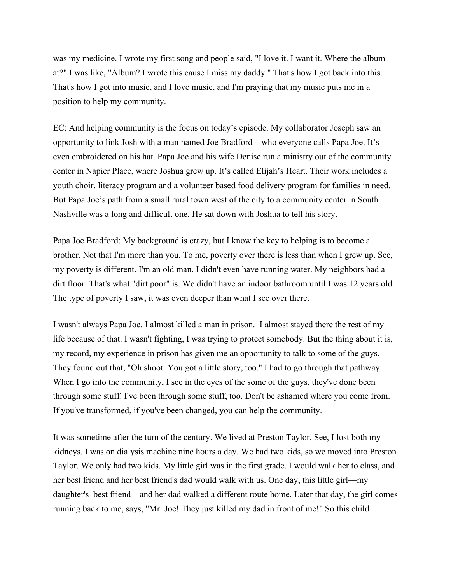was my medicine. I wrote my first song and people said, "I love it. I want it. Where the album at?" I was like, "Album? I wrote this cause I miss my daddy." That's how I got back into this. That's how I got into music, and I love music, and I'm praying that my music puts me in a position to help my community.

EC: And helping community is the focus on today's episode. My collaborator Joseph saw an opportunity to link Josh with a man named Joe Bradford––who everyone calls Papa Joe. It's even embroidered on his hat. Papa Joe and his wife Denise run a ministry out of the community center in Napier Place, where Joshua grew up. It's called Elijah's Heart. Their work includes a youth choir, literacy program and a volunteer based food delivery program for families in need. But Papa Joe's path from a small rural town west of the city to a community center in South Nashville was a long and difficult one. He sat down with Joshua to tell his story.

Papa Joe Bradford: My background is crazy, but I know the key to helping is to become a brother. Not that I'm more than you. To me, poverty over there is less than when I grew up. See, my poverty is different. I'm an old man. I didn't even have running water. My neighbors had a dirt floor. That's what "dirt poor" is. We didn't have an indoor bathroom until I was 12 years old. The type of poverty I saw, it was even deeper than what I see over there.

I wasn't always Papa Joe. I almost killed a man in prison. I almost stayed there the rest of my life because of that. I wasn't fighting, I was trying to protect somebody. But the thing about it is, my record, my experience in prison has given me an opportunity to talk to some of the guys. They found out that, "Oh shoot. You got a little story, too." I had to go through that pathway. When I go into the community, I see in the eyes of the some of the guys, they've done been through some stuff. I've been through some stuff, too. Don't be ashamed where you come from. If you've transformed, if you've been changed, you can help the community.

It was sometime after the turn of the century. We lived at Preston Taylor. See, I lost both my kidneys. I was on dialysis machine nine hours a day. We had two kids, so we moved into Preston Taylor. We only had two kids. My little girl was in the first grade. I would walk her to class, and her best friend and her best friend's dad would walk with us. One day, this little girl––my daughter's best friend––and her dad walked a different route home. Later that day, the girl comes running back to me, says, "Mr. Joe! They just killed my dad in front of me!" So this child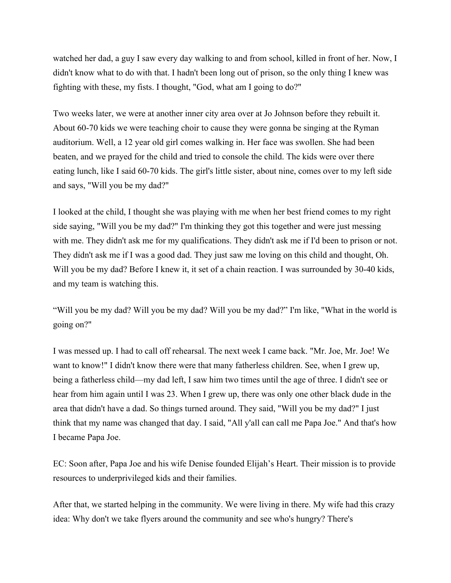watched her dad, a guy I saw every day walking to and from school, killed in front of her. Now, I didn't know what to do with that. I hadn't been long out of prison, so the only thing I knew was fighting with these, my fists. I thought, "God, what am I going to do?"

Two weeks later, we were at another inner city area over at Jo Johnson before they rebuilt it. About 60-70 kids we were teaching choir to cause they were gonna be singing at the Ryman auditorium. Well, a 12 year old girl comes walking in. Her face was swollen. She had been beaten, and we prayed for the child and tried to console the child. The kids were over there eating lunch, like I said 60-70 kids. The girl's little sister, about nine, comes over to my left side and says, "Will you be my dad?"

I looked at the child, I thought she was playing with me when her best friend comes to my right side saying, "Will you be my dad?" I'm thinking they got this together and were just messing with me. They didn't ask me for my qualifications. They didn't ask me if I'd been to prison or not. They didn't ask me if I was a good dad. They just saw me loving on this child and thought, Oh. Will you be my dad? Before I knew it, it set of a chain reaction. I was surrounded by 30-40 kids, and my team is watching this.

"Will you be my dad? Will you be my dad? Will you be my dad?" I'm like, "What in the world is going on?"

I was messed up. I had to call off rehearsal. The next week I came back. "Mr. Joe, Mr. Joe! We want to know!" I didn't know there were that many fatherless children. See, when I grew up, being a fatherless child––my dad left, I saw him two times until the age of three. I didn't see or hear from him again until I was 23. When I grew up, there was only one other black dude in the area that didn't have a dad. So things turned around. They said, "Will you be my dad?" I just think that my name was changed that day. I said, "All y'all can call me Papa Joe." And that's how I became Papa Joe.

EC: Soon after, Papa Joe and his wife Denise founded Elijah's Heart. Their mission is to provide resources to underprivileged kids and their families.

After that, we started helping in the community. We were living in there. My wife had this crazy idea: Why don't we take flyers around the community and see who's hungry? There's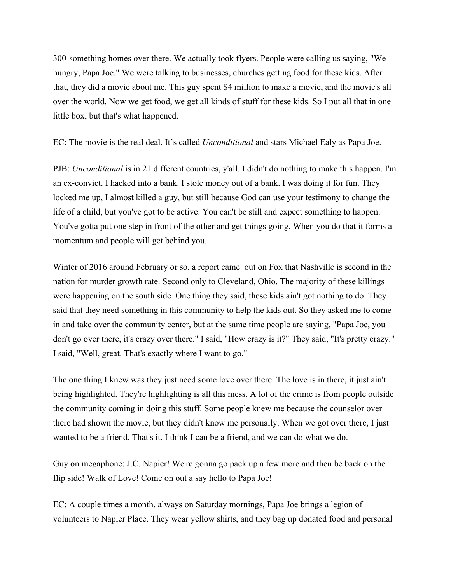300-something homes over there. We actually took flyers. People were calling us saying, "We hungry, Papa Joe." We were talking to businesses, churches getting food for these kids. After that, they did a movie about me. This guy spent \$4 million to make a movie, and the movie's all over the world. Now we get food, we get all kinds of stuff for these kids. So I put all that in one little box, but that's what happened.

EC: The movie is the real deal. It's called *Unconditional* and stars Michael Ealy as Papa Joe.

PJB: *Unconditional* is in 21 different countries, y'all. I didn't do nothing to make this happen. I'm an ex-convict. I hacked into a bank. I stole money out of a bank. I was doing it for fun. They locked me up, I almost killed a guy, but still because God can use your testimony to change the life of a child, but you've got to be active. You can't be still and expect something to happen. You've gotta put one step in front of the other and get things going. When you do that it forms a momentum and people will get behind you.

Winter of 2016 around February or so, a report came out on Fox that Nashville is second in the nation for murder growth rate. Second only to Cleveland, Ohio. The majority of these killings were happening on the south side. One thing they said, these kids ain't got nothing to do. They said that they need something in this community to help the kids out. So they asked me to come in and take over the community center, but at the same time people are saying, "Papa Joe, you don't go over there, it's crazy over there." I said, "How crazy is it?" They said, "It's pretty crazy." I said, "Well, great. That's exactly where I want to go."

The one thing I knew was they just need some love over there. The love is in there, it just ain't being highlighted. They're highlighting is all this mess. A lot of the crime is from people outside the community coming in doing this stuff. Some people knew me because the counselor over there had shown the movie, but they didn't know me personally. When we got over there, I just wanted to be a friend. That's it. I think I can be a friend, and we can do what we do.

Guy on megaphone: J.C. Napier! We're gonna go pack up a few more and then be back on the flip side! Walk of Love! Come on out a say hello to Papa Joe!

EC: A couple times a month, always on Saturday mornings, Papa Joe brings a legion of volunteers to Napier Place. They wear yellow shirts, and they bag up donated food and personal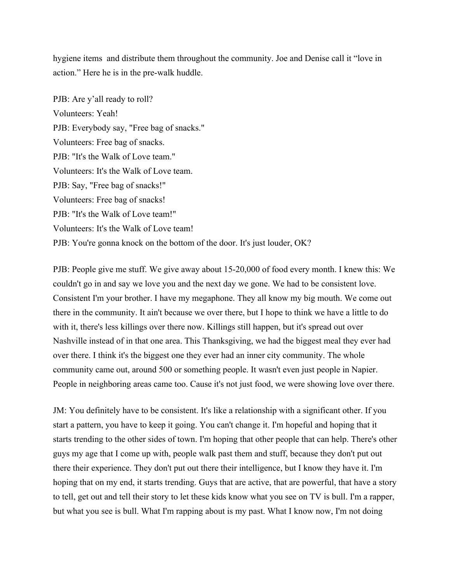hygiene items and distribute them throughout the community. Joe and Denise call it "love in action." Here he is in the pre-walk huddle.

PJB: Are y'all ready to roll? Volunteers: Yeah! PJB: Everybody say, "Free bag of snacks." Volunteers: Free bag of snacks. PJB: "It's the Walk of Love team." Volunteers: It's the Walk of Love team. PJB: Say, "Free bag of snacks!" Volunteers: Free bag of snacks! PJB: "It's the Walk of Love team!" Volunteers: It's the Walk of Love team! PJB: You're gonna knock on the bottom of the door. It's just louder, OK?

PJB: People give me stuff. We give away about 15-20,000 of food every month. I knew this: We couldn't go in and say we love you and the next day we gone. We had to be consistent love. Consistent I'm your brother. I have my megaphone. They all know my big mouth. We come out there in the community. It ain't because we over there, but I hope to think we have a little to do with it, there's less killings over there now. Killings still happen, but it's spread out over Nashville instead of in that one area. This Thanksgiving, we had the biggest meal they ever had over there. I think it's the biggest one they ever had an inner city community. The whole community came out, around 500 or something people. It wasn't even just people in Napier. People in neighboring areas came too. Cause it's not just food, we were showing love over there.

JM: You definitely have to be consistent. It's like a relationship with a significant other. If you start a pattern, you have to keep it going. You can't change it. I'm hopeful and hoping that it starts trending to the other sides of town. I'm hoping that other people that can help. There's other guys my age that I come up with, people walk past them and stuff, because they don't put out there their experience. They don't put out there their intelligence, but I know they have it. I'm hoping that on my end, it starts trending. Guys that are active, that are powerful, that have a story to tell, get out and tell their story to let these kids know what you see on TV is bull. I'm a rapper, but what you see is bull. What I'm rapping about is my past. What I know now, I'm not doing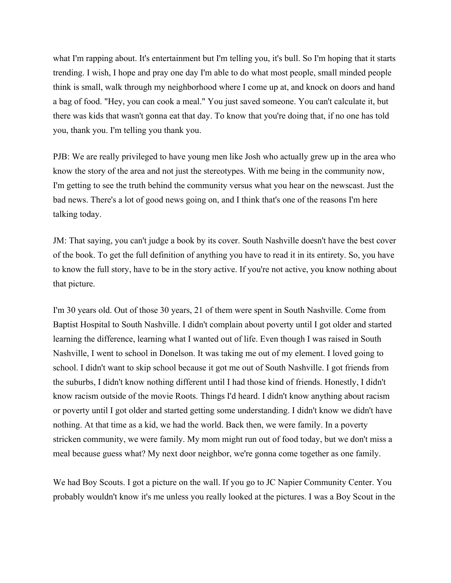what I'm rapping about. It's entertainment but I'm telling you, it's bull. So I'm hoping that it starts trending. I wish, I hope and pray one day I'm able to do what most people, small minded people think is small, walk through my neighborhood where I come up at, and knock on doors and hand a bag of food. "Hey, you can cook a meal." You just saved someone. You can't calculate it, but there was kids that wasn't gonna eat that day. To know that you're doing that, if no one has told you, thank you. I'm telling you thank you.

PJB: We are really privileged to have young men like Josh who actually grew up in the area who know the story of the area and not just the stereotypes. With me being in the community now, I'm getting to see the truth behind the community versus what you hear on the newscast. Just the bad news. There's a lot of good news going on, and I think that's one of the reasons I'm here talking today.

JM: That saying, you can't judge a book by its cover. South Nashville doesn't have the best cover of the book. To get the full definition of anything you have to read it in its entirety. So, you have to know the full story, have to be in the story active. If you're not active, you know nothing about that picture.

I'm 30 years old. Out of those 30 years, 21 of them were spent in South Nashville. Come from Baptist Hospital to South Nashville. I didn't complain about poverty until I got older and started learning the difference, learning what I wanted out of life. Even though I was raised in South Nashville, I went to school in Donelson. It was taking me out of my element. I loved going to school. I didn't want to skip school because it got me out of South Nashville. I got friends from the suburbs, I didn't know nothing different until I had those kind of friends. Honestly, I didn't know racism outside of the movie Roots. Things I'd heard. I didn't know anything about racism or poverty until I got older and started getting some understanding. I didn't know we didn't have nothing. At that time as a kid, we had the world. Back then, we were family. In a poverty stricken community, we were family. My mom might run out of food today, but we don't miss a meal because guess what? My next door neighbor, we're gonna come together as one family.

We had Boy Scouts. I got a picture on the wall. If you go to JC Napier Community Center. You probably wouldn't know it's me unless you really looked at the pictures. I was a Boy Scout in the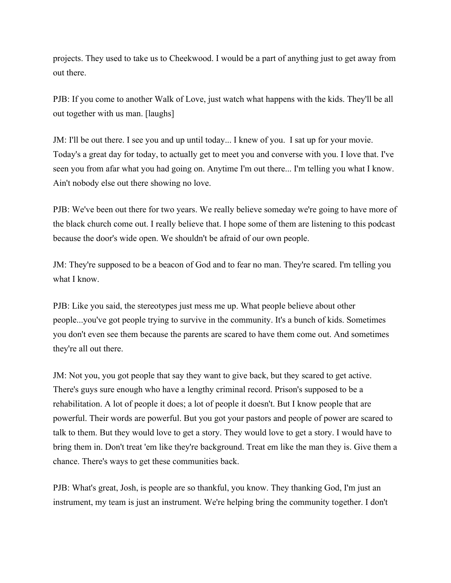projects. They used to take us to Cheekwood. I would be a part of anything just to get away from out there.

PJB: If you come to another Walk of Love, just watch what happens with the kids. They'll be all out together with us man. [laughs]

JM: I'll be out there. I see you and up until today... I knew of you. I sat up for your movie. Today's a great day for today, to actually get to meet you and converse with you. I love that. I've seen you from afar what you had going on. Anytime I'm out there... I'm telling you what I know. Ain't nobody else out there showing no love.

PJB: We've been out there for two years. We really believe someday we're going to have more of the black church come out. I really believe that. I hope some of them are listening to this podcast because the door's wide open. We shouldn't be afraid of our own people.

JM: They're supposed to be a beacon of God and to fear no man. They're scared. I'm telling you what I know.

PJB: Like you said, the stereotypes just mess me up. What people believe about other people...you've got people trying to survive in the community. It's a bunch of kids. Sometimes you don't even see them because the parents are scared to have them come out. And sometimes they're all out there.

JM: Not you, you got people that say they want to give back, but they scared to get active. There's guys sure enough who have a lengthy criminal record. Prison's supposed to be a rehabilitation. A lot of people it does; a lot of people it doesn't. But I know people that are powerful. Their words are powerful. But you got your pastors and people of power are scared to talk to them. But they would love to get a story. They would love to get a story. I would have to bring them in. Don't treat 'em like they're background. Treat em like the man they is. Give them a chance. There's ways to get these communities back.

PJB: What's great, Josh, is people are so thankful, you know. They thanking God, I'm just an instrument, my team is just an instrument. We're helping bring the community together. I don't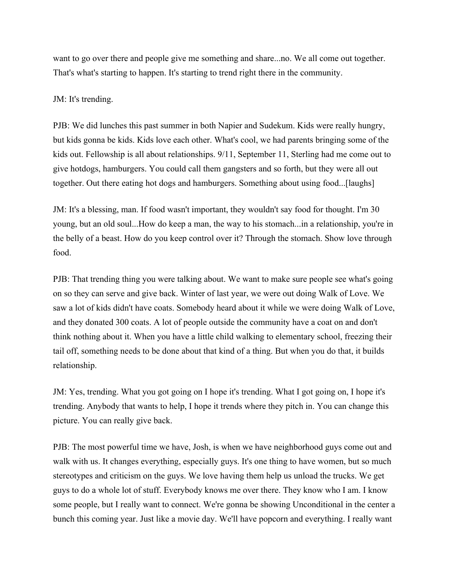want to go over there and people give me something and share...no. We all come out together. That's what's starting to happen. It's starting to trend right there in the community.

## JM: It's trending.

PJB: We did lunches this past summer in both Napier and Sudekum. Kids were really hungry, but kids gonna be kids. Kids love each other. What's cool, we had parents bringing some of the kids out. Fellowship is all about relationships. 9/11, September 11, Sterling had me come out to give hotdogs, hamburgers. You could call them gangsters and so forth, but they were all out together. Out there eating hot dogs and hamburgers. Something about using food...[laughs]

JM: It's a blessing, man. If food wasn't important, they wouldn't say food for thought. I'm 30 young, but an old soul...How do keep a man, the way to his stomach...in a relationship, you're in the belly of a beast. How do you keep control over it? Through the stomach. Show love through food.

PJB: That trending thing you were talking about. We want to make sure people see what's going on so they can serve and give back. Winter of last year, we were out doing Walk of Love. We saw a lot of kids didn't have coats. Somebody heard about it while we were doing Walk of Love, and they donated 300 coats. A lot of people outside the community have a coat on and don't think nothing about it. When you have a little child walking to elementary school, freezing their tail off, something needs to be done about that kind of a thing. But when you do that, it builds relationship.

JM: Yes, trending. What you got going on I hope it's trending. What I got going on, I hope it's trending. Anybody that wants to help, I hope it trends where they pitch in. You can change this picture. You can really give back.

PJB: The most powerful time we have, Josh, is when we have neighborhood guys come out and walk with us. It changes everything, especially guys. It's one thing to have women, but so much stereotypes and criticism on the guys. We love having them help us unload the trucks. We get guys to do a whole lot of stuff. Everybody knows me over there. They know who I am. I know some people, but I really want to connect. We're gonna be showing Unconditional in the center a bunch this coming year. Just like a movie day. We'll have popcorn and everything. I really want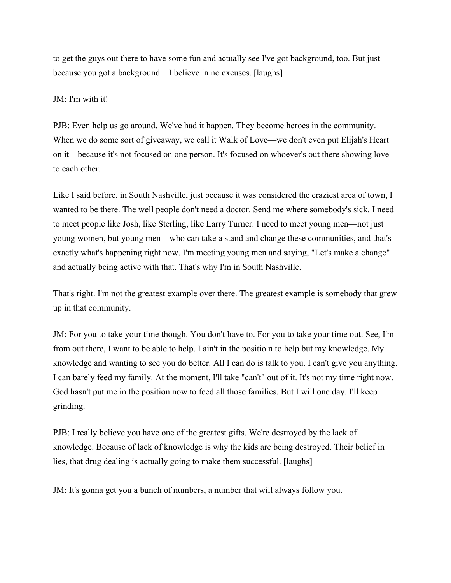to get the guys out there to have some fun and actually see I've got background, too. But just because you got a background––I believe in no excuses. [laughs]

## JM: I'm with it!

PJB: Even help us go around. We've had it happen. They become heroes in the community. When we do some sort of giveaway, we call it Walk of Love—we don't even put Elijah's Heart on it––because it's not focused on one person. It's focused on whoever's out there showing love to each other.

Like I said before, in South Nashville, just because it was considered the craziest area of town, I wanted to be there. The well people don't need a doctor. Send me where somebody's sick. I need to meet people like Josh, like Sterling, like Larry Turner. I need to meet young men––not just young women, but young men––who can take a stand and change these communities, and that's exactly what's happening right now. I'm meeting young men and saying, "Let's make a change" and actually being active with that. That's why I'm in South Nashville.

That's right. I'm not the greatest example over there. The greatest example is somebody that grew up in that community.

JM: For you to take your time though. You don't have to. For you to take your time out. See, I'm from out there, I want to be able to help. I ain't in the positio n to help but my knowledge. My knowledge and wanting to see you do better. All I can do is talk to you. I can't give you anything. I can barely feed my family. At the moment, I'll take "can't" out of it. It's not my time right now. God hasn't put me in the position now to feed all those families. But I will one day. I'll keep grinding.

PJB: I really believe you have one of the greatest gifts. We're destroyed by the lack of knowledge. Because of lack of knowledge is why the kids are being destroyed. Their belief in lies, that drug dealing is actually going to make them successful. [laughs]

JM: It's gonna get you a bunch of numbers, a number that will always follow you.